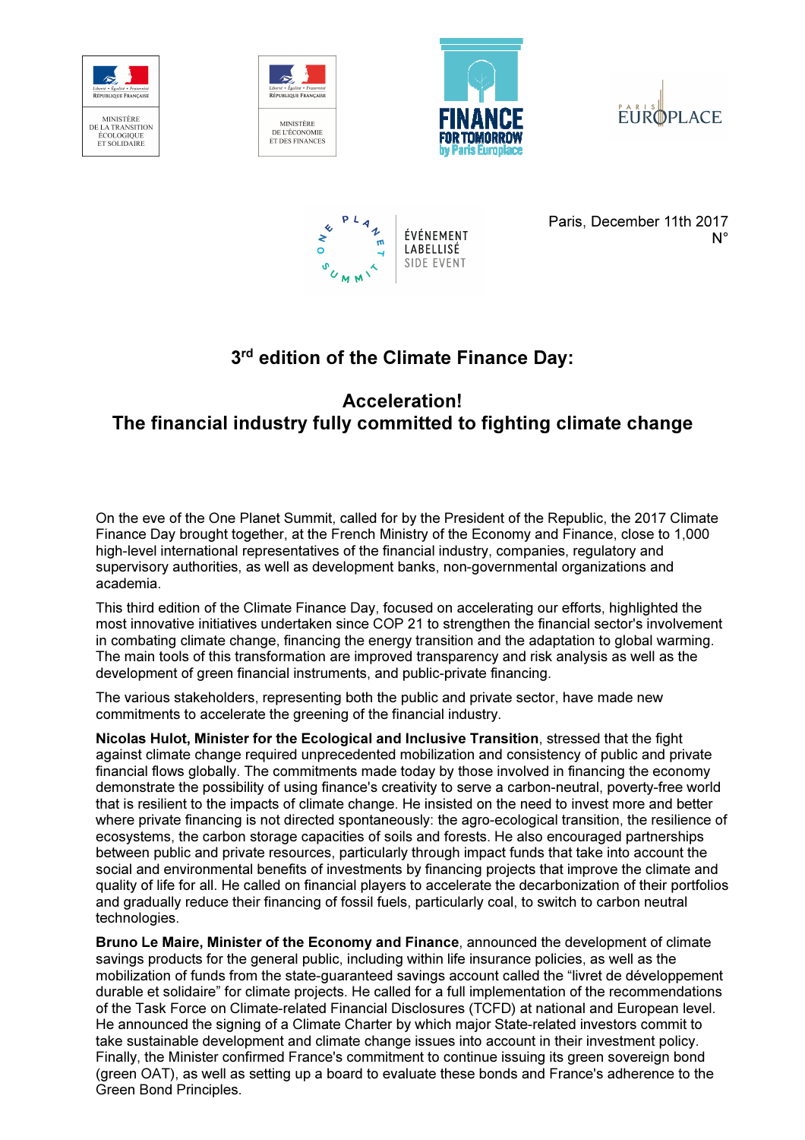









Paris, December 11th 2017  $N^{\circ}$ 

## 3<sup>rd</sup> edition of the Climate Finance Day:

## Acceleration! The financial industry fully committed to fighting climate change

On the eve of the One Planet Summit, called for by the President of the Republic, the 2017 Climate Finance Day brought together, at the French Ministry of the Economy and Finance, close to 1,000 high-level international representatives of the financial industry, companies, regulatory and supervisory authorities, as well as development banks, non-governmental organizations and academia.

This third edition of the Climate Finance Day, focused on accelerating our efforts, highlighted the most innovative initiatives undertaken since COP 21 to strengthen the financial sector's involvement in combating climate change, financing the energy transition and the adaptation to global warming. The main tools of this transformation are improved transparency and risk analysis as well as the development of green financial instruments, and public-private financing.

The various stakeholders, representing both the public and private sector, have made new commitments to accelerate the greening of the financial industry.

Nicolas Hulot, Minister for the Ecological and Inclusive Transition, stressed that the fight against climate change required unprecedented mobilization and consistency of public and private financial flows globally. The commitments made today by those involved in financing the economy demonstrate the possibility of using finance's creativity to serve a carbon-neutral, poverty-free world that is resilient to the impacts of climate change. He insisted on the need to invest more and better where private financing is not directed spontaneously: the agro-ecological transition, the resilience of ecosystems, the carbon storage capacities of soils and forests. He also encouraged partnerships between public and private resources, particularly through impact funds that take into account the social and environmental benefits of investments by financing projects that improve the climate and quality of life for all. He called on financial players to accelerate the decarbonization of their portfolios and gradually reduce their financing of fossil fuels, particularly coal, to switch to carbon neutral technologies.

Bruno Le Maire, Minister of the Economy and Finance, announced the development of climate savings products for the general public, including within life insurance policies, as well as the mobilization of funds from the state-guaranteed savings account called the "livret de développement durable et solidaire" for climate projects. He called for a full implementation of the recommendations of the Task Force on Climate-related Financial Disclosures (TCFD) at national and European level. He announced the signing of a Climate Charter by which major State-related investors commit to take sustainable development and climate change issues into account in their investment policy. Finally, the Minister confirmed France's commitment to continue issuing its green sovereign bond (green OAT), as well as setting up a board to evaluate these bonds and France's adherence to the Green Bond Principles.